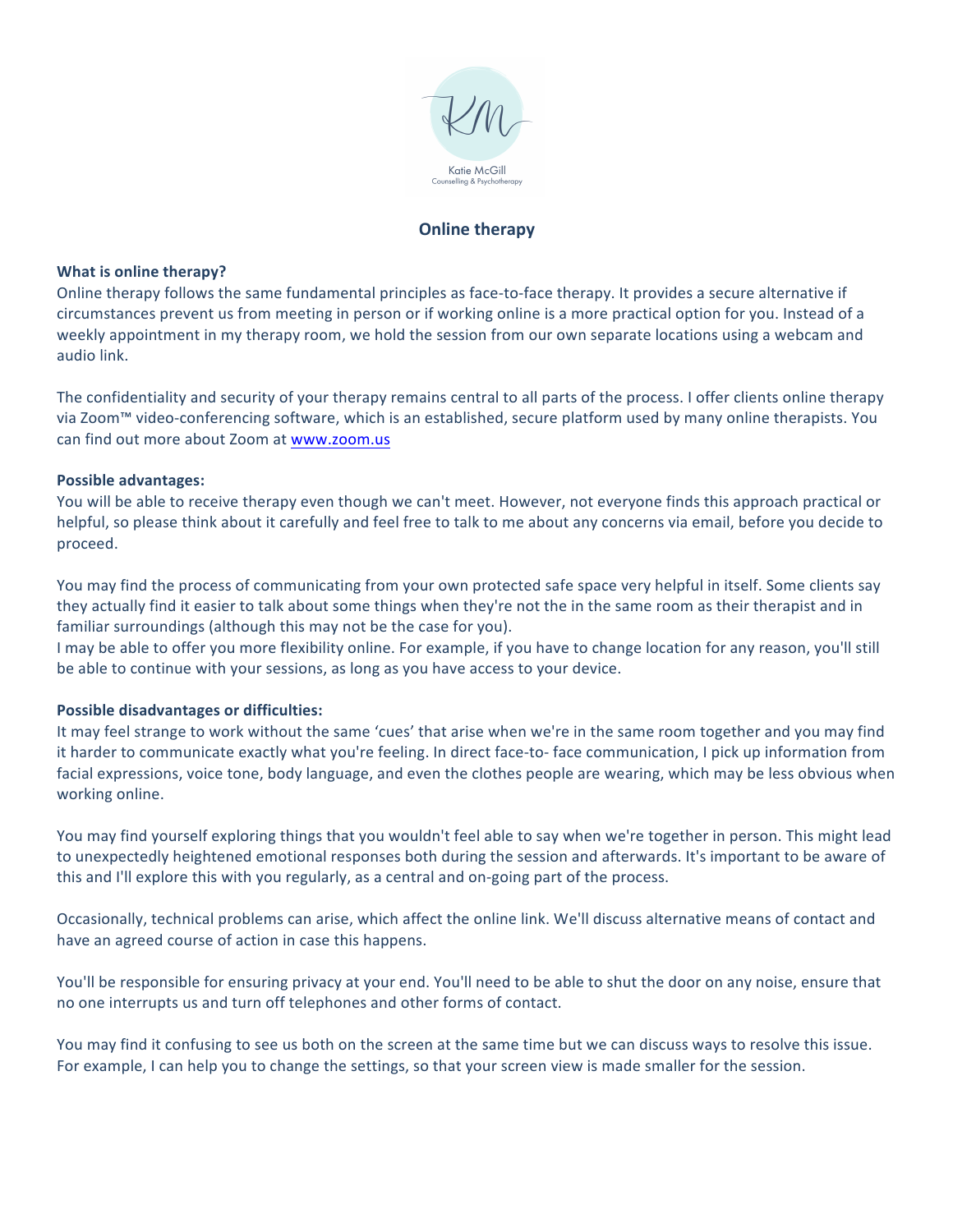

# **Online therapy**

#### **What is online therapy?**

Online therapy follows the same fundamental principles as face-to-face therapy. It provides a secure alternative if circumstances prevent us from meeting in person or if working online is a more practical option for you. Instead of a weekly appointment in my therapy room, we hold the session from our own separate locations using a webcam and audio link. 

The confidentiality and security of your therapy remains central to all parts of the process. I offer clients online therapy via Zoom™ video-conferencing software, which is an established, secure platform used by many online therapists. You can find out more about Zoom at www.zoom.us

#### **Possible advantages:**

You will be able to receive therapy even though we can't meet. However, not everyone finds this approach practical or helpful, so please think about it carefully and feel free to talk to me about any concerns via email, before you decide to proceed. 

You may find the process of communicating from your own protected safe space very helpful in itself. Some clients say they actually find it easier to talk about some things when they're not the in the same room as their therapist and in familiar surroundings (although this may not be the case for you).

I may be able to offer you more flexibility online. For example, if you have to change location for any reason, you'll still be able to continue with your sessions, as long as you have access to your device.

#### **Possible disadvantages or difficulties:**

It may feel strange to work without the same 'cues' that arise when we're in the same room together and you may find it harder to communicate exactly what you're feeling. In direct face-to- face communication, I pick up information from facial expressions, voice tone, body language, and even the clothes people are wearing, which may be less obvious when working online.

You may find yourself exploring things that you wouldn't feel able to say when we're together in person. This might lead to unexpectedly heightened emotional responses both during the session and afterwards. It's important to be aware of this and I'll explore this with you regularly, as a central and on-going part of the process.

Occasionally, technical problems can arise, which affect the online link. We'll discuss alternative means of contact and have an agreed course of action in case this happens.

You'll be responsible for ensuring privacy at your end. You'll need to be able to shut the door on any noise, ensure that no one interrupts us and turn off telephones and other forms of contact.

You may find it confusing to see us both on the screen at the same time but we can discuss ways to resolve this issue. For example, I can help you to change the settings, so that your screen view is made smaller for the session.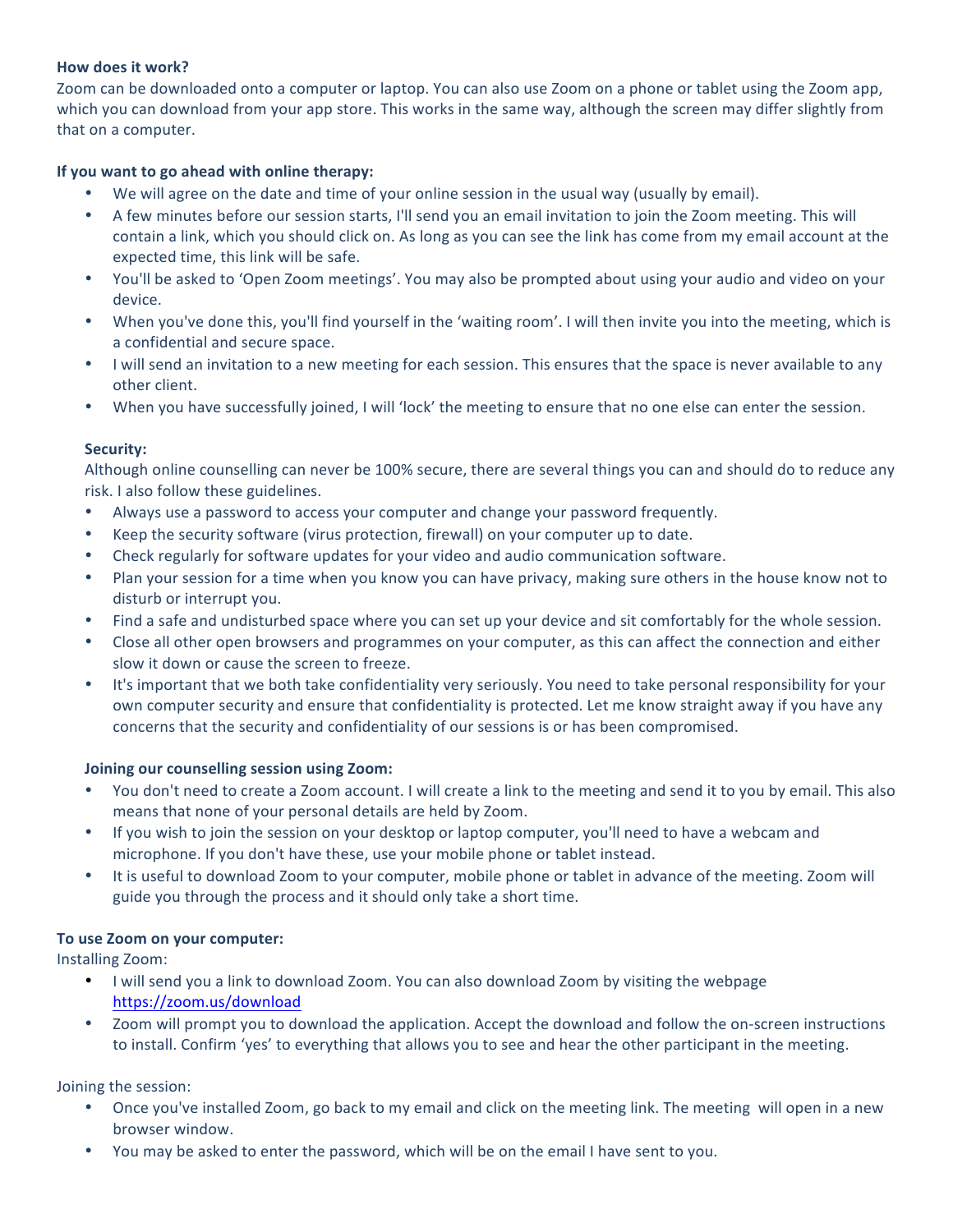### How does it work?

Zoom can be downloaded onto a computer or laptop. You can also use Zoom on a phone or tablet using the Zoom app, which you can download from your app store. This works in the same way, although the screen may differ slightly from that on a computer.

## **If you want to go ahead with online therapy:**

- We will agree on the date and time of your online session in the usual way (usually by email).
- A few minutes before our session starts, I'll send you an email invitation to join the Zoom meeting. This will contain a link, which you should click on. As long as you can see the link has come from my email account at the expected time, this link will be safe.
- You'll be asked to 'Open Zoom meetings'. You may also be prompted about using your audio and video on your device.
- When you've done this, you'll find yourself in the 'waiting room'. I will then invite you into the meeting, which is a confidential and secure space.
- I will send an invitation to a new meeting for each session. This ensures that the space is never available to any other client.
- When you have successfully joined, I will 'lock' the meeting to ensure that no one else can enter the session.

#### **Security:**

Although online counselling can never be 100% secure, there are several things you can and should do to reduce any risk. I also follow these guidelines.

- Always use a password to access your computer and change your password frequently.
- Keep the security software (virus protection, firewall) on your computer up to date.
- Check regularly for software updates for your video and audio communication software.
- Plan your session for a time when you know you can have privacy, making sure others in the house know not to disturb or interrupt you.
- Find a safe and undisturbed space where you can set up your device and sit comfortably for the whole session.
- Close all other open browsers and programmes on your computer, as this can affect the connection and either slow it down or cause the screen to freeze.
- It's important that we both take confidentiality very seriously. You need to take personal responsibility for your own computer security and ensure that confidentiality is protected. Let me know straight away if you have any concerns that the security and confidentiality of our sessions is or has been compromised.

#### **Joining our counselling session using Zoom:**

- You don't need to create a Zoom account. I will create a link to the meeting and send it to you by email. This also means that none of your personal details are held by Zoom.
- If you wish to join the session on your desktop or laptop computer, you'll need to have a webcam and microphone. If you don't have these, use your mobile phone or tablet instead.
- It is useful to download Zoom to your computer, mobile phone or tablet in advance of the meeting. Zoom will guide you through the process and it should only take a short time.

#### To use Zoom on your computer:

Installing Zoom:

- I will send you a link to download Zoom. You can also download Zoom by visiting the webpage https://zoom.us/download
- Zoom will prompt you to download the application. Accept the download and follow the on-screen instructions to install. Confirm 'yes' to everything that allows you to see and hear the other participant in the meeting.

Joining the session:

- Once you've installed Zoom, go back to my email and click on the meeting link. The meeting will open in a new browser window.
- You may be asked to enter the password, which will be on the email I have sent to you.